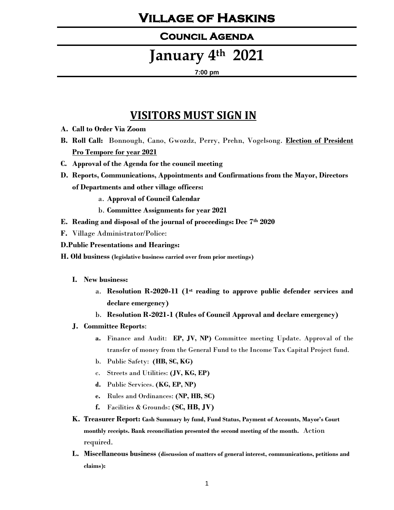### **Village of Haskins**

#### **Council Agenda**

# **January 4th 2021**

#### **7:00 pm**

### **VISITORS MUST SIGN IN**

- **A. Call to Order Via Zoom**
- **B. Roll Call:** Bonnough, Cano, Gwozdz, Perry, Prehn, Vogelsong. **Election of President Pro Tempore for year 2021**
- **C. Approval of the Agenda for the council meeting**
- **D. Reports, Communications, Appointments and Confirmations from the Mayor, Directors of Departments and other village officers:**
	- a. **Approval of Council Calendar**
	- b. **Committee Assignments for year 2021**
- **E. Reading and disposal of the journal of proceedings: Dec 7th 2020**
- **F.** Village Administrator/Police:
- **D.Public Presentations and Hearings:**
- **H. Old business (legislative business carried over from prior meetings)**
	- **I. New business:**
		- a. **Resolution R-2020-11 (1st reading to approve public defender services and declare emergency)**
		- b. **Resolution R-2021-1 (Rules of Council Approval and declare emergency)**
	- **J. Committee Reports**:
		- **a.** Finance and Audit: **EP, JV, NP)** Committee meeting Update. Approval of the transfer of money from the General Fund to the Income Tax Capital Project fund.
		- b. Public Safety: **(HB, SC, KG)**
		- c. Streets and Utilities: **(JV, KG, EP)**
		- **d.** Public Services. **(KG, EP, NP)**
		- **e.** Rules and Ordinances: **(NP, HB, SC)**
		- **f.** Facilities & Grounds: **(SC, HB, JV)**
	- **K. Treasurer Report: Cash Summary by fund, Fund Status, Payment of Accounts, Mayor's Court monthly receipts. Bank reconciliation presented the second meeting of the month.** Action required.
	- **L. Miscellaneous business (discussion of matters of general interest, communications, petitions and claims):**